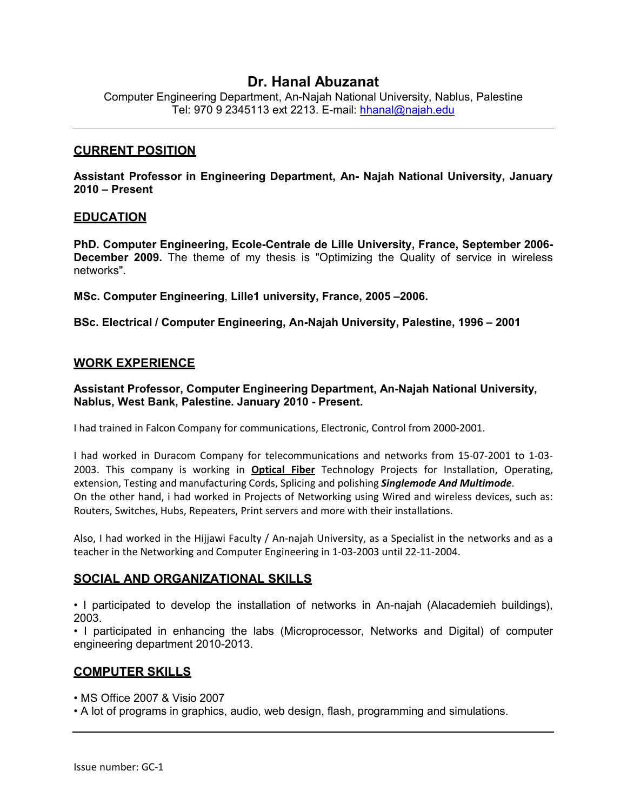# **Dr. Hanal Abuzanat**

Computer Engineering Department, An-Najah National University, Nablus, Palestine Tel: 970 9 2345113 ext 2213. E-mail: hhanal@najah.edu

#### **CURRENT POSITION**

**Assistant Professor in Engineering Department, An- Najah National University, January 2010 – Present**

#### **EDUCATION**

**PhD. Computer Engineering, Ecole-Centrale de Lille University, France, September 2006- December 2009.** The theme of my thesis is "Optimizing the Quality of service in wireless networks".

**MSc. Computer Engineering**, **Lille1 university, France, 2005 –2006.**

**BSc. Electrical / Computer Engineering, An-Najah University, Palestine, 1996 – 2001**

#### **WORK EXPERIENCE**

**Assistant Professor, Computer Engineering Department, An-Najah National University, Nablus, West Bank, Palestine. January 2010 - Present.**

I had trained in Falcon Company for communications, Electronic, Control from 2000-2001.

I had worked in Duracom Company for telecommunications and networks from 15-07-2001 to 1-03- 2003. This company is working in **Optical Fiber** Technology Projects for Installation, Operating, extension, Testing and manufacturing Cords, Splicing and polishing *Singlemode And Multimode*. On the other hand, i had worked in Projects of Networking using Wired and wireless devices, such as: Routers, Switches, Hubs, Repeaters, Print servers and more with their installations.

Also, I had worked in the Hijjawi Faculty / An-najah University, as a Specialist in the networks and as a teacher in the Networking and Computer Engineering in 1-03-2003 until 22-11-2004.

## **SOCIAL AND ORGANIZATIONAL SKILLS**

• I participated to develop the installation of networks in An-najah (Alacademieh buildings), 2003.

• I participated in enhancing the labs (Microprocessor, Networks and Digital) of computer engineering department 2010-2013.

## **COMPUTER SKILLS**

• MS Office 2007 & Visio 2007

• A lot of programs in graphics, audio, web design, flash, programming and simulations.